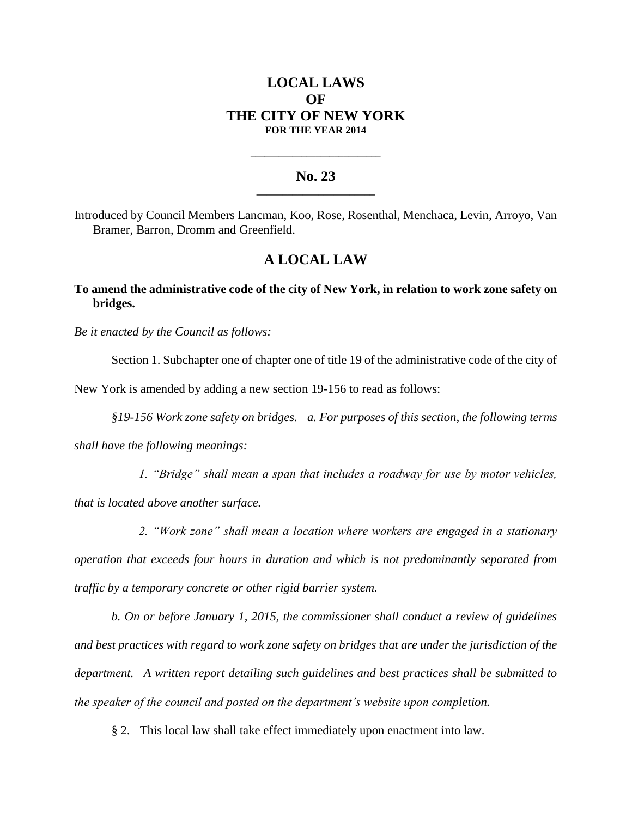# **LOCAL LAWS OF THE CITY OF NEW YORK FOR THE YEAR 2014**

### **No. 23 \_\_\_\_\_\_\_\_\_\_\_\_\_\_\_\_\_\_\_\_\_\_\_**

**\_\_\_\_\_\_\_\_\_\_\_\_\_\_\_\_\_\_\_\_\_\_\_\_\_\_\_\_**

Introduced by Council Members Lancman, Koo, Rose, Rosenthal, Menchaca, Levin, Arroyo, Van Bramer, Barron, Dromm and Greenfield.

## **A LOCAL LAW**

### **To amend the administrative code of the city of New York, in relation to work zone safety on bridges.**

*Be it enacted by the Council as follows:* 

Section 1. Subchapter one of chapter one of title 19 of the administrative code of the city of

New York is amended by adding a new section 19-156 to read as follows:

*§19-156 Work zone safety on bridges. a. For purposes of this section, the following terms* 

*shall have the following meanings:* 

 *1. "Bridge" shall mean a span that includes a roadway for use by motor vehicles, that is located above another surface.*

 *2. "Work zone" shall mean a location where workers are engaged in a stationary operation that exceeds four hours in duration and which is not predominantly separated from traffic by a temporary concrete or other rigid barrier system.* 

*b. On or before January 1, 2015, the commissioner shall conduct a review of guidelines and best practices with regard to work zone safety on bridges that are under the jurisdiction of the department. A written report detailing such guidelines and best practices shall be submitted to the speaker of the council and posted on the department's website upon completion.*

§ 2. This local law shall take effect immediately upon enactment into law.